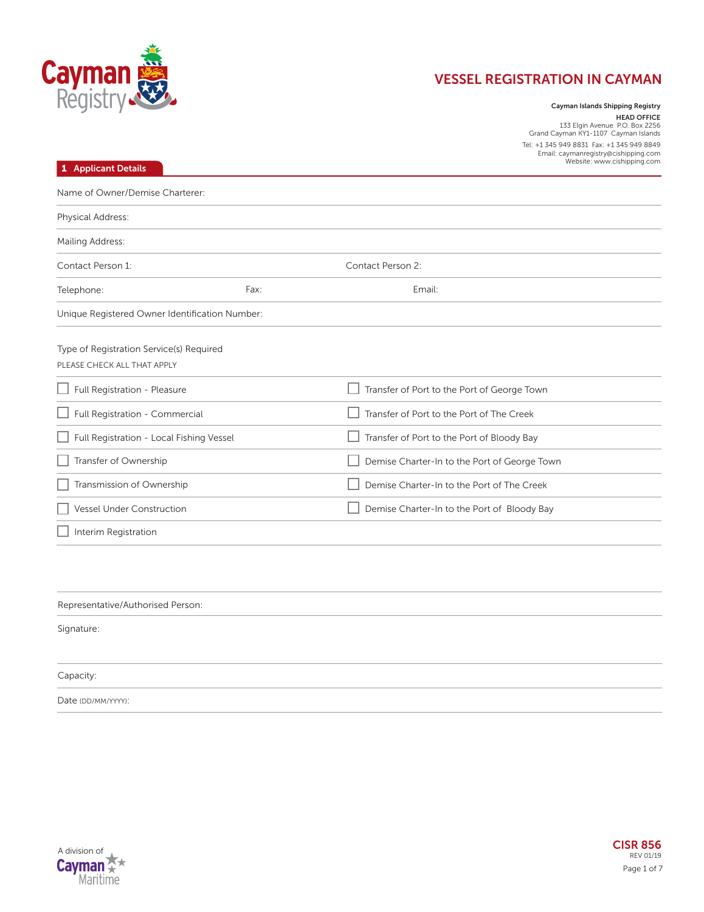

**Cayman Islands Shipping Registry HEAD OFFICE**<br>133 Elgin Avenue P.O. Box 2256<br>Grand Cayman KY1-1107 Cayman Islands Tel: +1 345 949 8831 Fax: +1 345 949 8849 Email: caymanregistry@cishipping.com

| 1 Applicant Details                                                     |      | Email: caymanregistry@cishipping.com<br>Website: www.cishipping.com |
|-------------------------------------------------------------------------|------|---------------------------------------------------------------------|
| Name of Owner/Demise Charterer:                                         |      |                                                                     |
| Physical Address:                                                       |      |                                                                     |
| Mailing Address:                                                        |      |                                                                     |
| Contact Person 1:                                                       |      | Contact Person 2:                                                   |
| Telephone:                                                              | Fax: | Email:                                                              |
| Unique Registered Owner Identification Number:                          |      |                                                                     |
| Type of Registration Service(s) Required<br>PLEASE CHECK ALL THAT APPLY |      |                                                                     |
| $\Box$ Full Registration - Pleasure                                     |      | Transfer of Port to the Port of George Town                         |
| Full Registration - Commercial                                          |      | Transfer of Port to the Port of The Creek                           |
| Full Registration - Local Fishing Vessel                                |      | Transfer of Port to the Port of Bloody Bay                          |
| Transfer of Ownership                                                   |      | Demise Charter-In to the Port of George Town                        |
| Transmission of Ownership                                               |      | Demise Charter-In to the Port of The Creek                          |
| Vessel Under Construction                                               |      | Demise Charter-In to the Port of Bloody Bay                         |
| Interim Registration                                                    |      |                                                                     |
|                                                                         |      |                                                                     |
|                                                                         |      |                                                                     |

Representative/Authorised Person:

Signature:

Capacity:

Date (DD/MM/YYYY):

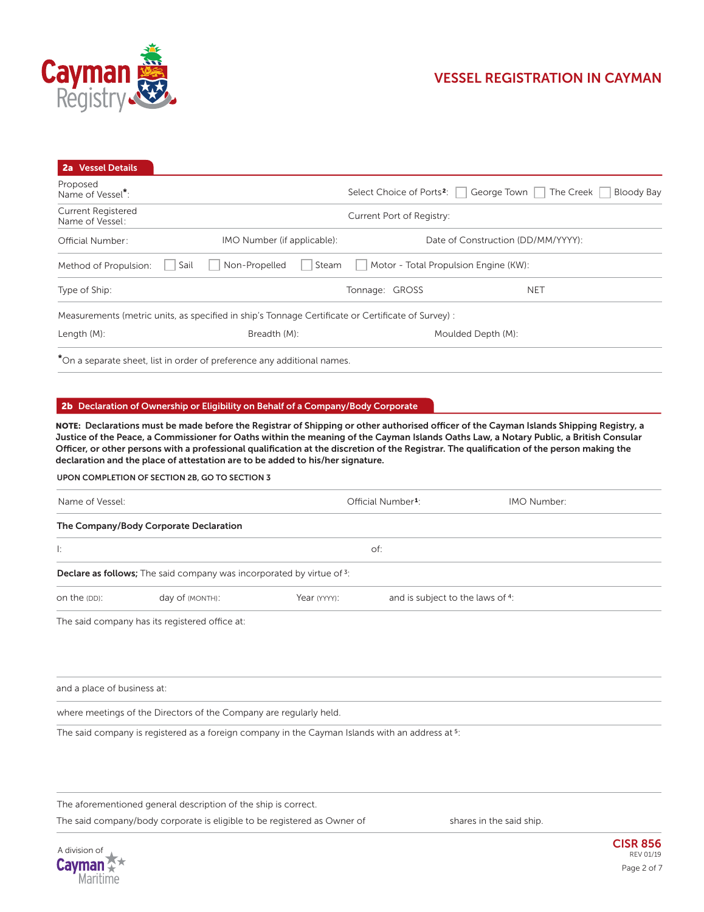

| <b>2a</b> Vessel Details                     |                                                                                                    |                           |                                                                                     |
|----------------------------------------------|----------------------------------------------------------------------------------------------------|---------------------------|-------------------------------------------------------------------------------------|
| Proposed<br>Name of Vessel <sup>*</sup> :    |                                                                                                    |                           | Select Choice of Ports <sup>2</sup> : George Town<br>The Creek<br><b>Bloody Bay</b> |
| <b>Current Registered</b><br>Name of Vessel: |                                                                                                    | Current Port of Registry: |                                                                                     |
| <b>Official Number:</b>                      | IMO Number (if applicable):                                                                        |                           | Date of Construction (DD/MM/YYYY):                                                  |
| Method of Propulsion:                        | Non-Propelled<br>Steam<br>Sail                                                                     |                           | Motor - Total Propulsion Engine (KW):                                               |
| Type of Ship:                                |                                                                                                    | Tonnage: GROSS            | <b>NET</b>                                                                          |
|                                              | Measurements (metric units, as specified in ship's Tonnage Certificate or Certificate of Survey) : |                           |                                                                                     |
| Length $(M)$ :                               | Breadth (M):                                                                                       |                           | Moulded Depth (M):                                                                  |
|                                              | *On a separate sheet, list in order of preference any additional names.                            |                           |                                                                                     |

### **2b Declaration of Ownership or Eligibility on Behalf of a Company/Body Corporate**

**NOTE: Declarations must be made before the Registrar of Shipping or other authorised officer of the Cayman Islands Shipping Registry, a Justice of the Peace, a Commissioner for Oaths within the meaning of the Cayman Islands Oaths Law, a Notary Public, a British Consular Officer, or other persons with a professional qualification at the discretion of the Registrar. The qualification of the person making the declaration and the place of attestation are to be added to his/her signature.**

### **UPON COMPLETION OF SECTION 2B, GO TO SECTION 3**

| Name of Vessel: |                                                                              | Official Number <sup>1</sup> :                   | IMO Number: |
|-----------------|------------------------------------------------------------------------------|--------------------------------------------------|-------------|
|                 | The Company/Body Corporate Declaration                                       |                                                  |             |
| Ŀ.              |                                                                              | of:                                              |             |
|                 | <b>Declare as follows;</b> The said company was incorporated by virtue of 3: |                                                  |             |
| on the (DD):    | day of (MONTH):                                                              | and is subject to the laws of 4:<br>Year (YYYY): |             |
|                 | The said company has its registered office at:                               |                                                  |             |

The said company has its registered office at:

and a place of business at:

where meetings of the Directors of the Company are regularly held.

The said company is registered as a foreign company in the Cayman Islands with an address at  $5$ :

The aforementioned general description of the ship is correct.

The said company/body corporate is eligible to be registered as Owner of shares in the said ship.

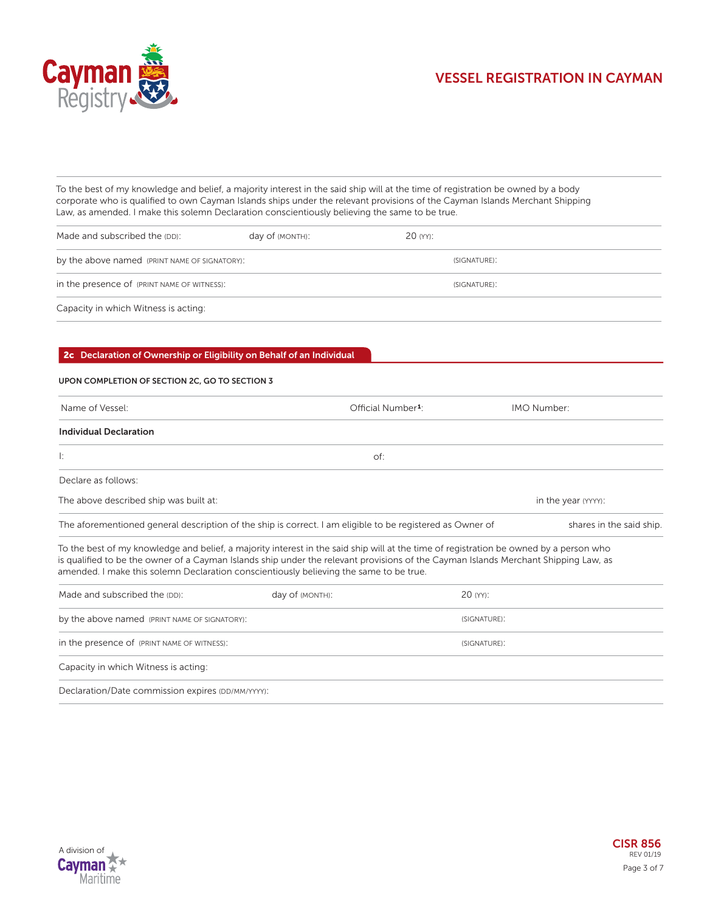

To the best of my knowledge and belief, a majority interest in the said ship will at the time of registration be owned by a body corporate who is qualified to own Cayman Islands ships under the relevant provisions of the Cayman Islands Merchant Shipping Law, as amended. I make this solemn Declaration conscientiously believing the same to be true.

| Made and subscribed the (DD):                 | day of (MONTH): | 20 (YY):     |  |
|-----------------------------------------------|-----------------|--------------|--|
| by the above named (PRINT NAME OF SIGNATORY): |                 | (SIGNATURE): |  |
| in the presence of (PRINT NAME OF WITNESS):   |                 | (SIGNATURE): |  |
| Capacity in which Witness is acting:          |                 |              |  |

### **2c Declaration of Ownership or Eligibility on Behalf of an Individual**

### **UPON COMPLETION OF SECTION 2C, GO TO SECTION 3**

| Name of Vessel:                               | Official Number <sup>1</sup> :                                                                            | IMO Number:                                                                                                                                                                                                                                                                   |
|-----------------------------------------------|-----------------------------------------------------------------------------------------------------------|-------------------------------------------------------------------------------------------------------------------------------------------------------------------------------------------------------------------------------------------------------------------------------|
| <b>Individual Declaration</b>                 |                                                                                                           |                                                                                                                                                                                                                                                                               |
| Ŀ.                                            | of:                                                                                                       |                                                                                                                                                                                                                                                                               |
| Declare as follows:                           |                                                                                                           |                                                                                                                                                                                                                                                                               |
| The above described ship was built at:        |                                                                                                           | in the year (YYYY):                                                                                                                                                                                                                                                           |
|                                               | The aforementioned general description of the ship is correct. I am eligible to be registered as Owner of | shares in the said ship.                                                                                                                                                                                                                                                      |
|                                               | amended. I make this solemn Declaration conscientiously believing the same to be true.                    | To the best of my knowledge and belief, a majority interest in the said ship will at the time of registration be owned by a person who<br>is qualified to be the owner of a Cayman Islands ship under the relevant provisions of the Cayman Islands Merchant Shipping Law, as |
| Made and subscribed the (DD):                 | day of (MONTH):                                                                                           | 20 (YY):                                                                                                                                                                                                                                                                      |
| by the above named (PRINT NAME OF SIGNATORY): |                                                                                                           | (SIGNATURE):                                                                                                                                                                                                                                                                  |
| in the presence of (PRINT NAME OF WITNESS):   |                                                                                                           | (SIGNATURE):                                                                                                                                                                                                                                                                  |
| Capacity in which Witness is acting:          |                                                                                                           |                                                                                                                                                                                                                                                                               |

Declaration/Date commission expires (DD/MM/YYYY):

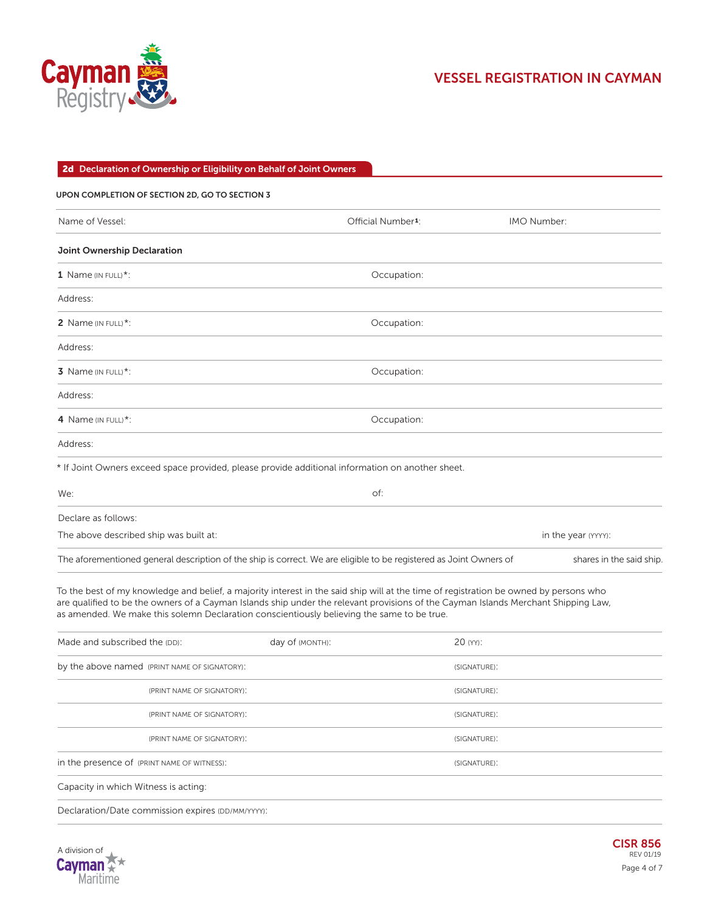

### **2d Declaration of Ownership or Eligibility on Behalf of Joint Owners**

| UPON COMPLETION OF SECTION 2D, GO TO SECTION 3                                                                     |                                |                         |
|--------------------------------------------------------------------------------------------------------------------|--------------------------------|-------------------------|
| Name of Vessel:                                                                                                    | Official Number <sup>1</sup> : | IMO Number:             |
| Joint Ownership Declaration                                                                                        |                                |                         |
| 1 Name (IN FULL)*:                                                                                                 | Occupation:                    |                         |
| Address:                                                                                                           |                                |                         |
| 2 Name (IN FULL)*:                                                                                                 | Occupation:                    |                         |
| Address:                                                                                                           |                                |                         |
| 3 Name (IN FULL)*:                                                                                                 | Occupation:                    |                         |
| Address:                                                                                                           |                                |                         |
| 4 Name (IN FULL)*:                                                                                                 | Occupation:                    |                         |
| Address:                                                                                                           |                                |                         |
| * If Joint Owners exceed space provided, please provide additional information on another sheet.                   |                                |                         |
| We:                                                                                                                | of:                            |                         |
| Declare as follows:                                                                                                |                                |                         |
| The above described ship was built at:                                                                             |                                | in the year (YYYY):     |
| The aforementioned general description of the ship is correct. We are eligible to be registered as Joint Owners of |                                | shares in the said ship |

To the best of my knowledge and belief, a majority interest in the said ship will at the time of registration be owned by persons who are qualified to be the owners of a Cayman Islands ship under the relevant provisions of the Cayman Islands Merchant Shipping Law, as amended. We make this solemn Declaration conscientiously believing the same to be true.

| Made and subscribed the (DD):                     | day of (MONTH): | 20 (YY):     |
|---------------------------------------------------|-----------------|--------------|
| by the above named (PRINT NAME OF SIGNATORY):     |                 | (SIGNATURE): |
| (PRINT NAME OF SIGNATORY):                        |                 | (SIGNATURE): |
| (PRINT NAME OF SIGNATORY):                        |                 | (SIGNATURE): |
| (PRINT NAME OF SIGNATORY):                        |                 | (SIGNATURE): |
| in the presence of (PRINT NAME OF WITNESS):       |                 | (SIGNATURE): |
| Capacity in which Witness is acting:              |                 |              |
| Declaration/Date commission expires (DD/MM/YYYY): |                 |              |

A division of Cayman  $\mathbb Z$ Maritime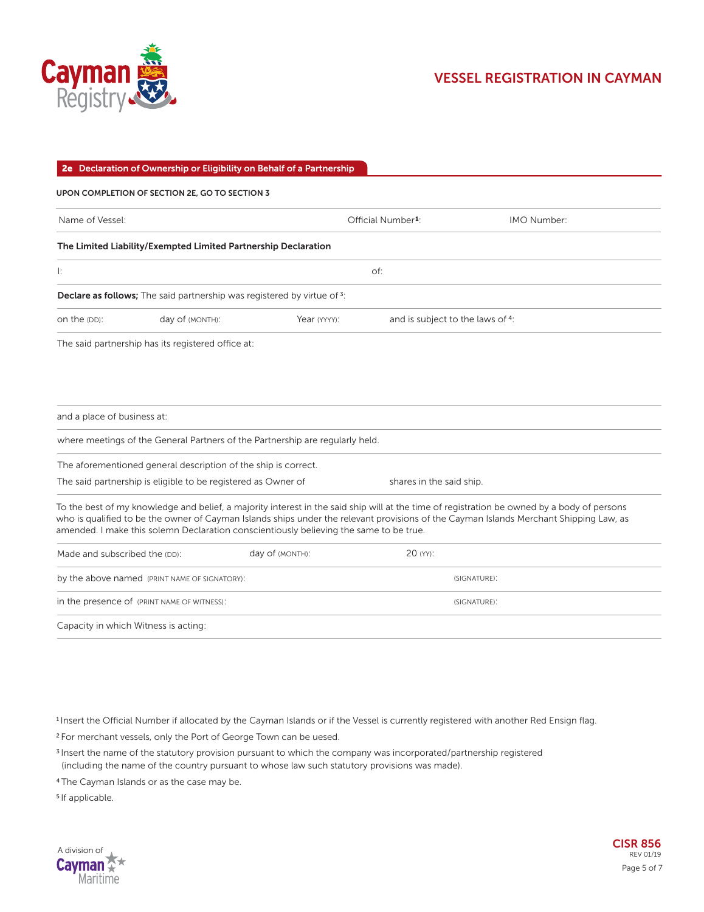

|                                               | 2e Declaration of Ownership or Eligibility on Behalf of a Partnership   |                                                                                        |                                  |                                                                                                                                                                                                                                                                                       |
|-----------------------------------------------|-------------------------------------------------------------------------|----------------------------------------------------------------------------------------|----------------------------------|---------------------------------------------------------------------------------------------------------------------------------------------------------------------------------------------------------------------------------------------------------------------------------------|
|                                               | UPON COMPLETION OF SECTION 2E, GO TO SECTION 3                          |                                                                                        |                                  |                                                                                                                                                                                                                                                                                       |
| Name of Vessel:                               |                                                                         |                                                                                        | Official Number <sup>1</sup> :   | IMO Number:                                                                                                                                                                                                                                                                           |
|                                               | The Limited Liability/Exempted Limited Partnership Declaration          |                                                                                        |                                  |                                                                                                                                                                                                                                                                                       |
| Ŀ.                                            |                                                                         |                                                                                        | of:                              |                                                                                                                                                                                                                                                                                       |
|                                               | Declare as follows; The said partnership was registered by virtue of 3: |                                                                                        |                                  |                                                                                                                                                                                                                                                                                       |
| on the (DD):                                  | day of (MONTH):                                                         | Year (YYYY):                                                                           | and is subject to the laws of 4: |                                                                                                                                                                                                                                                                                       |
|                                               | The said partnership has its registered office at:                      |                                                                                        |                                  |                                                                                                                                                                                                                                                                                       |
| and a place of business at:                   | The aforementioned general description of the ship is correct.          | where meetings of the General Partners of the Partnership are regularly held.          |                                  |                                                                                                                                                                                                                                                                                       |
|                                               | The said partnership is eligible to be registered as Owner of           |                                                                                        | shares in the said ship.         |                                                                                                                                                                                                                                                                                       |
|                                               |                                                                         | amended. I make this solemn Declaration conscientiously believing the same to be true. |                                  | To the best of my knowledge and belief, a majority interest in the said ship will at the time of registration be owned by a body of persons<br>who is qualified to be the owner of Cayman Islands ships under the relevant provisions of the Cayman Islands Merchant Shipping Law, as |
| Made and subscribed the (DD):                 |                                                                         | day of (MONTH):                                                                        | 20 (YY):                         |                                                                                                                                                                                                                                                                                       |
| by the above named (PRINT NAME OF SIGNATORY): |                                                                         |                                                                                        |                                  | (SIGNATURE):                                                                                                                                                                                                                                                                          |
| in the presence of (PRINT NAME OF WITNESS):   |                                                                         |                                                                                        |                                  | (SIGNATURE):                                                                                                                                                                                                                                                                          |
| Capacity in which Witness is acting:          |                                                                         |                                                                                        |                                  |                                                                                                                                                                                                                                                                                       |

<sup>1</sup>Insert the Official Number if allocated by the Cayman Islands or if the Vessel is currently registered with another Red Ensign flag.

<sup>2</sup>For merchant vessels, only the Port of George Town can be uesed.

<sup>3</sup>Insert the name of the statutory provision pursuant to which the company was incorporated/partnership registered (including the name of the country pursuant to whose law such statutory provisions was made).

<sup>4</sup>The Cayman Islands or as the case may be.

<sup>5</sup>If applicable.

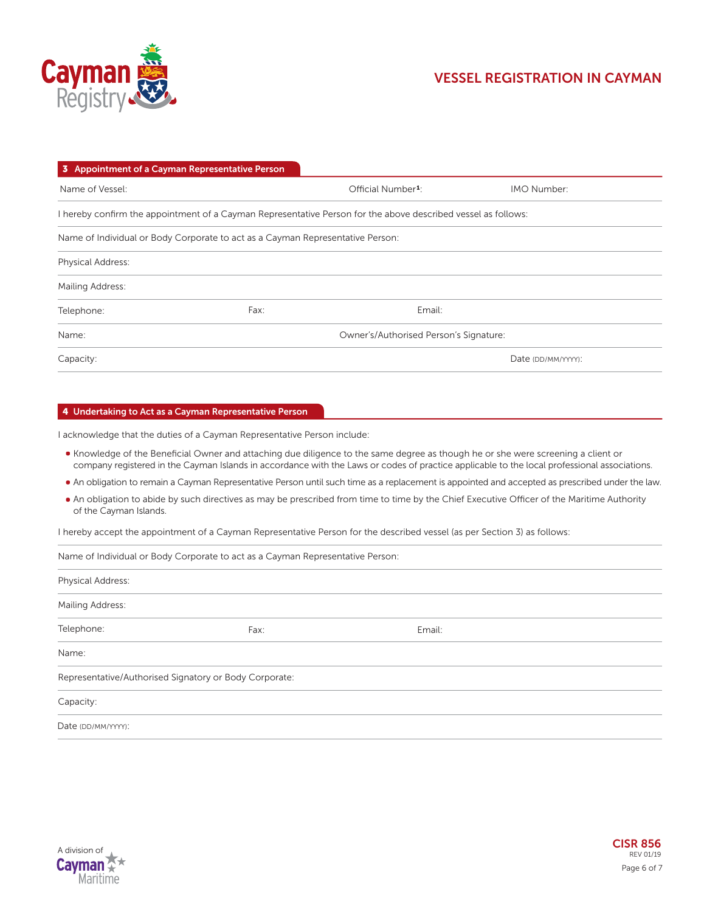

| 3 Appointment of a Cayman Representative Person                                |                                                                                                               |                    |
|--------------------------------------------------------------------------------|---------------------------------------------------------------------------------------------------------------|--------------------|
| Name of Vessel:                                                                | Official Number <sup>1</sup> :                                                                                | <b>IMO Number:</b> |
|                                                                                | I hereby confirm the appointment of a Cayman Representative Person for the above described vessel as follows: |                    |
| Name of Individual or Body Corporate to act as a Cayman Representative Person: |                                                                                                               |                    |
| <b>Physical Address:</b>                                                       |                                                                                                               |                    |
| Mailing Address:                                                               |                                                                                                               |                    |
| Fax:<br>Telephone:                                                             | Email:                                                                                                        |                    |
| Name:                                                                          | Owner's/Authorised Person's Signature:                                                                        |                    |
| Capacity:                                                                      |                                                                                                               | Date (DD/MM/YYYY): |

### **4 Undertaking to Act as a Cayman Representative Person**

I acknowledge that the duties of a Cayman Representative Person include:

- Knowledge of the Beneficial Owner and attaching due diligence to the same degree as though he or she were screening a client or company registered in the Cayman Islands in accordance with the Laws or codes of practice applicable to the local professional associations.
- An obligation to remain a Cayman Representative Person until such time as a replacement is appointed and accepted as prescribed under the law.
- An obligation to abide by such directives as may be prescribed from time to time by the Chief Executive Officer of the Maritime Authority of the Cayman Islands.

I hereby accept the appointment of a Cayman Representative Person for the described vessel (as per Section 3) as follows:

Name of Individual or Body Corporate to act as a Cayman Representative Person:

| Physical Address:  |                                                        |        |  |
|--------------------|--------------------------------------------------------|--------|--|
| Mailing Address:   |                                                        |        |  |
| Telephone:         | Fax:                                                   | Email: |  |
| Name:              |                                                        |        |  |
|                    | Representative/Authorised Signatory or Body Corporate: |        |  |
| Capacity:          |                                                        |        |  |
| Date (DD/MM/YYYY): |                                                        |        |  |